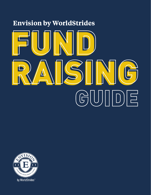# **Envision by WorldStrides** FUND RAISING FUND RAISING GUIDE

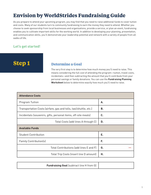# **Envision by WorldStrides Fundraising Guide**

As you prepare to attend your upcoming program, you may find that you need to raise additional funds to cover tuition and costs. Many of our students turn to community fundraising to earn the money they need to attend. Whether you choose to seek sponsorship from local businesses and organizations, provide a service, or plan an event, fundraising enables you to cultivate important skills for the working world. In addition to developing your planning, presentation, and communication skills, you'll demonstrate your leadership potential and network with a variety of people from all walks of life.

## **Let's get started!**

# **Step 1**

## **Determine a Goal**

The very first step is to determine how much money you'll need to raise. This means considering the full cost of attending the program—tuition, travel costs, incidentals—and then subtracting the amount that you'll contribute from your personal savings or family donations. You can use the **Fundraising Planning Worksheet** below to determine exactly how much you'll need to raise.

| <b>Attendance Costs</b>                                           |    |
|-------------------------------------------------------------------|----|
| Program Tuition                                                   | А. |
| Transportation Costs (airfare, gas and tolls, taxi/shuttle, etc.) | В. |
| Incidentals (souvenirs, gifts, personal items, off-site meals)    | C. |
| Total Costs (add lines A through C)                               | D. |
| <b>Available Funds</b>                                            |    |
| <b>Student Contribution</b>                                       | Е. |
| Family Contribution(s)                                            | F. |
| Total Contributions (add lines E and F)                           | G. |
| Total Trip Costs (insert line D amount)                           | н. |

| <b>Fundraising Goal</b> (subtract line H from G) |  |
|--------------------------------------------------|--|
|--------------------------------------------------|--|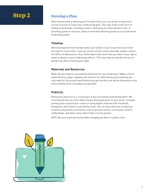# **Step 2**

## **Develop a Plan**

Now that you have a starting point to work from, you can decide on your best course of action to reach your fundraising goal. This may come in the form of finding scholarships, hosting an event, setting up an online donation site, or providing goods or services. Keep in mind the following points as you brainstorm fundraising ideas.

#### **Timeline**

Work backwards from the date when your tuition is due to see how much time you have to raise funds. If you are unsure of your tuition due date, please contact the Office of Admissions. Also, think about how much time you have in your day or week to devote to your fundraising efforts. This may help you decide how you're going to go about meeting your goal.

#### **Materials and Resources**

What will you need to successfully advertise for your fundraiser? Make a list of materials (e.g. paper supplies and markers for advertising, plus anything you may need for the actual event) before you get started, and ask for donations on as many needed tools or products as possible.

#### **Publicity**

Getting the word out is a crucial part of any successful fundraising effort. We recommend that you start advertising a few weeks prior to your event. Consider posting flyers around your school or using digital channels like Facebook, Instagram, and Twitter to spread the news. You can also advertise in physical locations around the community, such as grocery stores, community centers, coffeeshops, and other areas where flyers can be posted.

*NOTE: Be sure to get permission before hanging any flyers in public areas.*

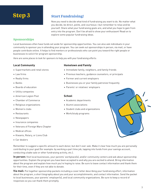## **Start Fundraising!**

Now you need to decide what kind of fundraising you want to do. No matter what you decide, be direct, polite, and courteous—but remember to relax and be yourself. Share what your fundraising goals are, and what you hope to gain from entry into the program. Don't be afraid to show your enthusiasm! Read on to explore some popular fundraising ideas.

## **Sponsorships**

Local businesses often have funds set aside for sponsorship opportunities. You can also ask individuals in your community to sponsor you in attending your program. You can seek out sponsorships in person, via mail, or have people contribute online. It helps to find mentors or professionals who can point you toward the right people or businesses to solicit for program sponsorship.

*Here are some places to look for sponsors to help you with your fundraising efforts:*

#### **Local Community**

- Supermarkets and retail stores
- Law firms
- Realty firms
- Banks
- Boards of education
- Utility companies
- American Legion Post
- Chamber of Commerce
- Religious organizations
- Women's clubs
- Restaurants
- Newspapers
- Insurance companies
- Veterans of Foreign Wars Chapter
- Medical offices
- Kiwanis, Rotary, or Lions Club
- Car dealers

#### **Hometown and Family**

- Immediate family, neighbors, and family friends
- Previous teachers, guidance counselors, or principals
- Former and current employers
- Businesses you or your family patronize frequently
- Parents' or relatives' employers

#### **School**

- Academic departments
- Alumni associations
- Student clubs and organizations
- Work/study programs



Remember to suggest a specific amount to each donor, but don't over-ask. Make it clear how much you are personally contributing to your goal (for example: by working a part time job, tapping into funds from your savings account, conducting a bake sale or other fundraising activity, etc.).

**In person:** Visit local businesses, your parents' workplace(s), and/or community centers and ask about sponsorship opportunities. Explain the program you have been accepted to and why you are excited to attend. Bring information about the program and explain how much you're hoping to raise. Be sure to leave contact information and thank them for their time, even if they are not able to donate.

**Via mail:** Put together sponsorship packets including a cover letter describing your fundraising effort, information about the program, a short biography about you and your accomplishments, and contact information. Send the packet to local businesses, your parents' employer(s), and local community organizations. Be sure to keep a record of responses so you can thank them promptly.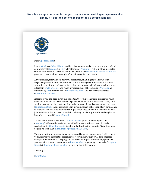#### **Here is a sample donation letter you may use when seeking out sponsorships. Simply fill out the sections in parenthesis before sending!**



Dear (Sponsor Name),

I am a (Grade) at (School Name) and have been nominated to represent my school and community at (Program) in (City). By attending (Program), I will join other motivated students from around the country for an experiential (Leadership/Career Exploration) program. I have enclosed a sample of our itinerary for your review.

As you can see, this will be a powerful experience, enabling me to interact with respected professionals in various fields while building relationships with students who will be my future colleagues. Attending this program will allow me to further my interest in (Field or Topic) and reach my career goals of becoming a (Profession). I maintain a (GPA), am involved in (Extracurriculars), and was recently awarded (Awards or Accolades).

Imagine if you had been given this opportunity for a life-changing experience when you were in school and were unable to participate for lack of funds—that is why I am writing to you today. My participation in the program depends on whether I can raise (Fundraising Goal) in sponsorships. I am investing every dollar I can of my own money to make sure I don't miss out on this unique experience, and I am also taking on extra jobs to raise the funds I need. In addition, through my family, friends, and neighbors, I have already raised (Amount Raised).

That leaves me with a balance of (Amount Needed) and I am hoping that the (Company) will consider assisting me with all or some of these costs. I have also reached out to (Other Companies) with similar fundraising requests. My tuition must be paid no later than (Enrollment Application Due Date).

Your support for my sponsorship request would be greatly appreciated. I will contact you next week to discuss the possibility of receiving your support. I have enclosed background materials on the program to answer your questions and help you make your decision. Please contact me at (Phone Number) or you may contact the (Program Name) at (Program Phone Number) for any further information.

Sincerely,

(Your Name)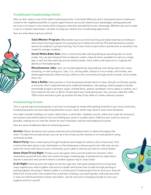#### **Traditional Fundraising (Sales)**

Door-to-door sales is one of the oldest fundraising tricks in the book! While you don't necessarily have to make your rounds in the neighborhood (this is a great opportunity to use social media to your advantage), selling goods and services is an easy to raise money while using your interests and abilities to your advantage. Whether you love to bake or you're a master lawnmower, consider turning your talents into a fundraising opportunity.

*Here are a few ideas to get you started:*



**Tutor/Mentor Program:** What better way to promote learning and leadership than providing an afterschool tutoring program for young learners? Advertise with the PTA and elementary schools and enroll students in private tutoring. You'll learn how to teach others and become an excellent role model for younger students.

**Social Media Bake Sale:** Start a community bake sale by posting an upcoming sale on social media. You can post ahead of time to take pre-orders, have all items available for sale on a single day, or sell one item each day across several weeks. Once orders and sales are in, organize the delivery of the baked goods.

**Miscellaneous Jobs:** Jobs can include babysitting, dog walking, leaf raking, lawn care, snow shoveling, or even acting as a "taxi," (i.e., driving older citizens to run errands, visit friends, and attend appointments). Advertise your efforts in the community through word of mouth, social media, fliers, etc.

**Host a Raffle:** Have parents or local businesses donate items of value, like gift certificates, goods, or services. Don't underestimate less traditional donations, like asking creative people to donate homemade products (artwork, quilts, knitted items, pottery, woodwork, fancy cakes or cookies, etc.) Sell tickets for \$1 each or \$5 for 10 and watch your fundraising soar! You can also make the raffle 100% online and have a pick-up location the day of the raffle or create a delivery system.

#### **Fundraising Events**

This is a great way to provide goods or services in exchange for funds while getting involved in your local community. Fundraising events can also help bring attention to your cause, which may result in even more donations.

You might consider holding a car wash, talent show, or yard sale—whatever you do, make sure to get the necessary permissions and authorizations if you are holding your event in a public place. Publicize your event as much as possible, making sure to note the reason for your fundraiser, and set reasonable price points.

*Here are some of additional ideas for fundraising events:*

**Auction:** Obtain donations from anyone and everyone and display them on tables throughout the room. To make this socially distant, you can do a live virtual auction hosted on a virtual platform using comments as bids.

Watch Party: Host a watch party through Facebook and charge for tickets to the virtual event. Pick a movie that takes place in your destination or that showcases a famous performer. Not only can you watch the movie with others in your community, you're able to interact just like at a movie theater.

**Game Show/Trivia Night:** Produce your own game show and sell tickets for entrance. Have contestants sound off from their own homes through a meeting app. A standard trivia night where anyone is welcome and can form teams is another popular way to raise funds!

**Craft Night:** Painting and craft nights are all the rage now. Sell spots ahead of time to know how many supplies you need to gather and secure a leader who knows how to walk through painting or putting together the project. Need to make it a virtual party? Create project kits for pick up or drop off before the virtual event. Get creative! You could host creating a succulent garden, learning macramé, or even art with found items to keep costs down. Just be sure you're charging enough to cover your supplies and turn a profit.

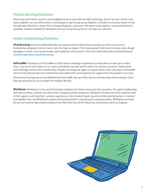#### **Virtual Meeting Platforms**

Nearly any event held in person can be adapted to be virtual with the right technology. Even if we can't all be in the space together, we can utilize online meeting apps to get a large group together. Consider turning your event virtual through apps like Zoom, House Party, Google Hangouts, and more. The same recipe applies—have entertainment available, websites needed for donations lined up, and pump up the fun through your internet.

#### **Online Fundraising Platforms**

**eFundraising:** Envision by WorldStrides has teamed with eFundraising to provide you with resources for fundraising campaigns that are low in cost, but high on impact. The most popular fundraisers include cookie dough packages, scratch-card coupon books, and candy bar variety packs. Find more information about eFundraising at **envisionexperience.com/fundraising**.

**GoFundMe:** The beauty of GoFundMe is that it allows campaign organizers to invite others to take part in their story. Just as we share parts of our lives on Facebook, we also want to share our dreams, pursuits, celebrations and challenges online with crowdfunding. People will always be eager to support others they care about. GoFundMe removes the physical barriers traditionally associated with receiving financial support from the people in our lives.

*Envision and its programs are not affiliated with GoFundMe. Any use of this site is at the discretion of the customer. If you have any questions you must contact the company directly.*

**Wishbone:** Wishbone is a non-profit that gives students the chance to pursue their passions. Through crowdfunding and sponsorships, students can attend life-changing summer programs. Wishbone provides the tools students need to find, apply to, and fund their summer experiences. Each student teams up with an Advocate (a teacher or mentor) and together they use Wishbone's robust fundraising toolkit to raise funds for program tuition. Wishbone currently serves low-income high school students from New York City, the SF Bay Area, Connecticut, and Los Angeles.